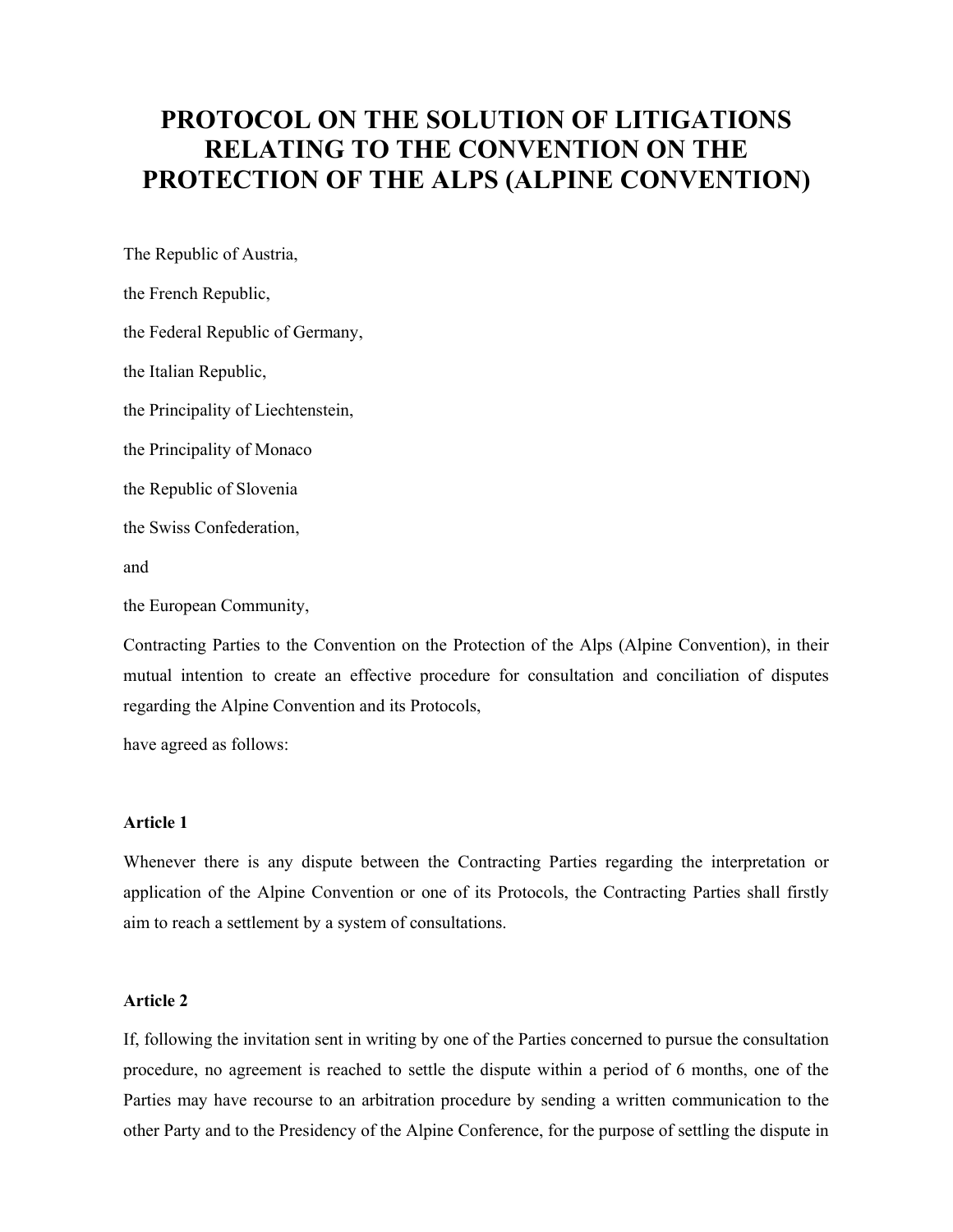# **PROTOCOL ON THE SOLUTION OF LITIGATIONS RELATING TO THE CONVENTION ON THE PROTECTION OF THE ALPS (ALPINE CONVENTION)**

The Republic of Austria, the French Republic, the Federal Republic of Germany, the Italian Republic, the Principality of Liechtenstein, the Principality of Monaco the Republic of Slovenia the Swiss Confederation, and

the European Community,

Contracting Parties to the Convention on the Protection of the Alps (Alpine Convention), in their mutual intention to create an effective procedure for consultation and conciliation of disputes regarding the Alpine Convention and its Protocols,

have agreed as follows:

## **Article 1**

Whenever there is any dispute between the Contracting Parties regarding the interpretation or application of the Alpine Convention or one of its Protocols, the Contracting Parties shall firstly aim to reach a settlement by a system of consultations.

#### **Article 2**

If, following the invitation sent in writing by one of the Parties concerned to pursue the consultation procedure, no agreement is reached to settle the dispute within a period of 6 months, one of the Parties may have recourse to an arbitration procedure by sending a written communication to the other Party and to the Presidency of the Alpine Conference, for the purpose of settling the dispute in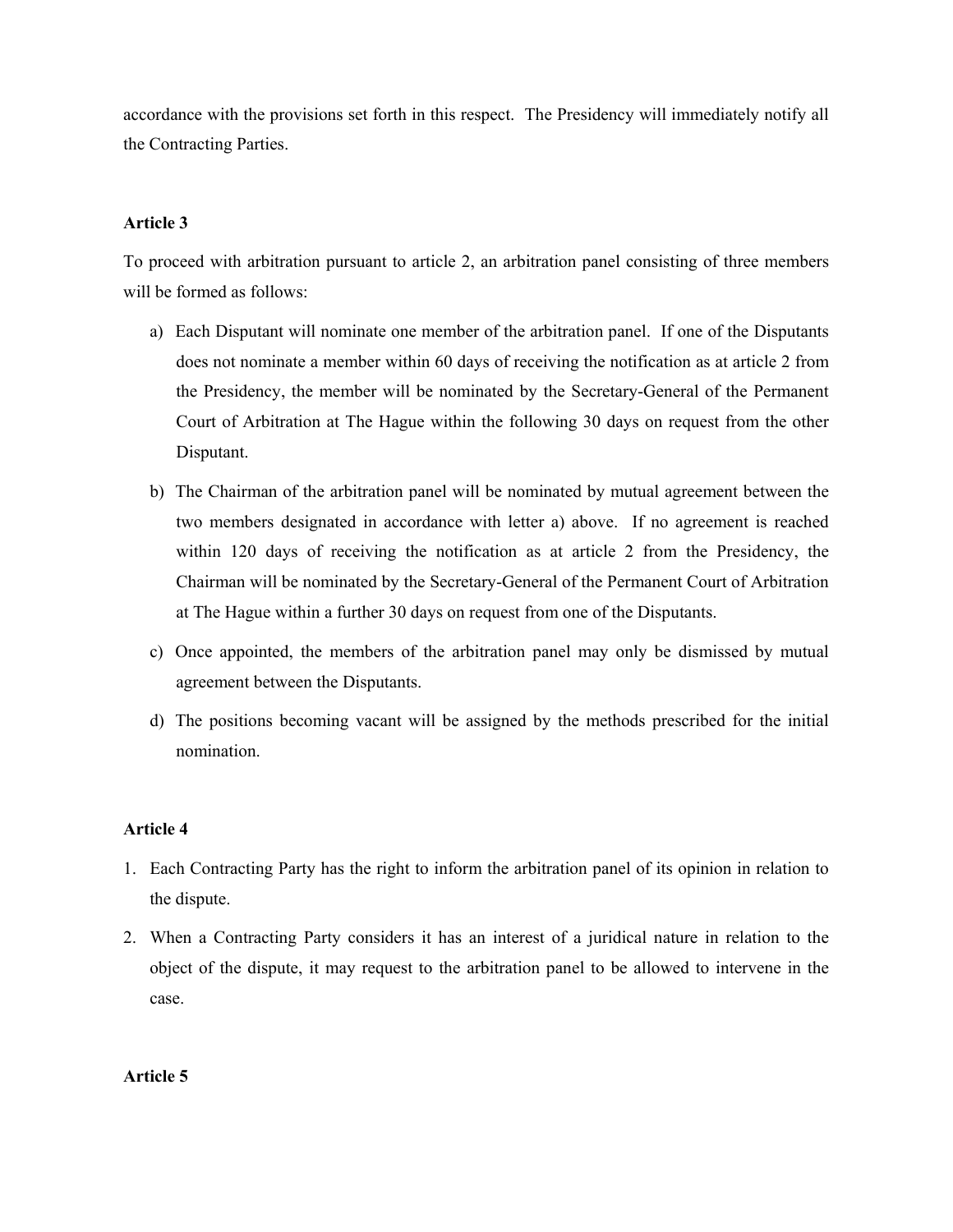accordance with the provisions set forth in this respect. The Presidency will immediately notify all the Contracting Parties.

# **Article 3**

To proceed with arbitration pursuant to article 2, an arbitration panel consisting of three members will be formed as follows:

- a) Each Disputant will nominate one member of the arbitration panel. If one of the Disputants does not nominate a member within 60 days of receiving the notification as at article 2 from the Presidency, the member will be nominated by the Secretary-General of the Permanent Court of Arbitration at The Hague within the following 30 days on request from the other Disputant.
- b) The Chairman of the arbitration panel will be nominated by mutual agreement between the two members designated in accordance with letter a) above. If no agreement is reached within 120 days of receiving the notification as at article 2 from the Presidency, the Chairman will be nominated by the Secretary-General of the Permanent Court of Arbitration at The Hague within a further 30 days on request from one of the Disputants.
- c) Once appointed, the members of the arbitration panel may only be dismissed by mutual agreement between the Disputants.
- d) The positions becoming vacant will be assigned by the methods prescribed for the initial nomination.

## **Article 4**

- 1. Each Contracting Party has the right to inform the arbitration panel of its opinion in relation to the dispute.
- 2. When a Contracting Party considers it has an interest of a juridical nature in relation to the object of the dispute, it may request to the arbitration panel to be allowed to intervene in the case.

# **Article 5**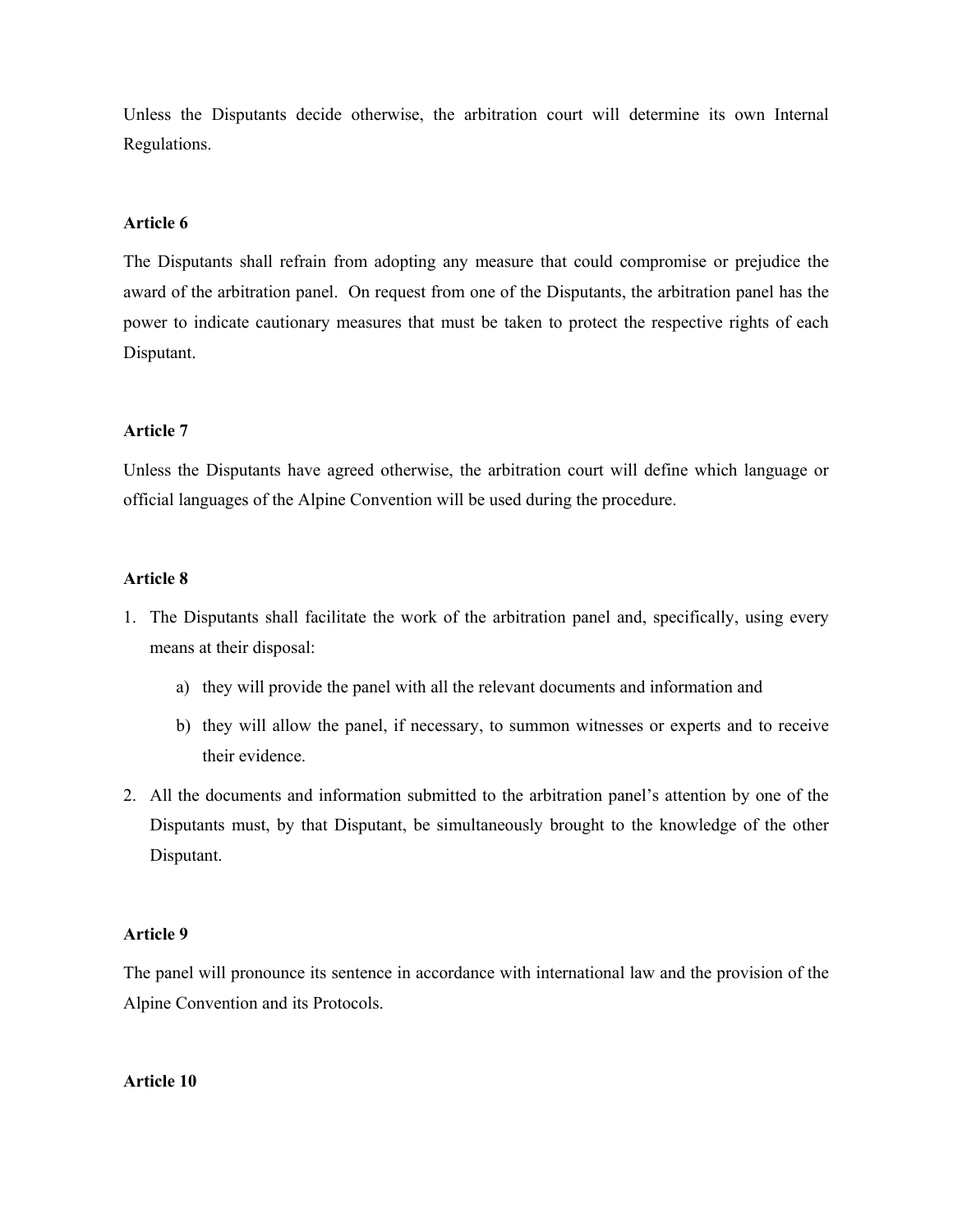Unless the Disputants decide otherwise, the arbitration court will determine its own Internal Regulations.

## **Article 6**

The Disputants shall refrain from adopting any measure that could compromise or prejudice the award of the arbitration panel. On request from one of the Disputants, the arbitration panel has the power to indicate cautionary measures that must be taken to protect the respective rights of each Disputant.

#### **Article 7**

Unless the Disputants have agreed otherwise, the arbitration court will define which language or official languages of the Alpine Convention will be used during the procedure.

#### **Article 8**

- 1. The Disputants shall facilitate the work of the arbitration panel and, specifically, using every means at their disposal:
	- a) they will provide the panel with all the relevant documents and information and
	- b) they will allow the panel, if necessary, to summon witnesses or experts and to receive their evidence.
- 2. All the documents and information submitted to the arbitration panel's attention by one of the Disputants must, by that Disputant, be simultaneously brought to the knowledge of the other Disputant.

## **Article 9**

The panel will pronounce its sentence in accordance with international law and the provision of the Alpine Convention and its Protocols.

**Article 10**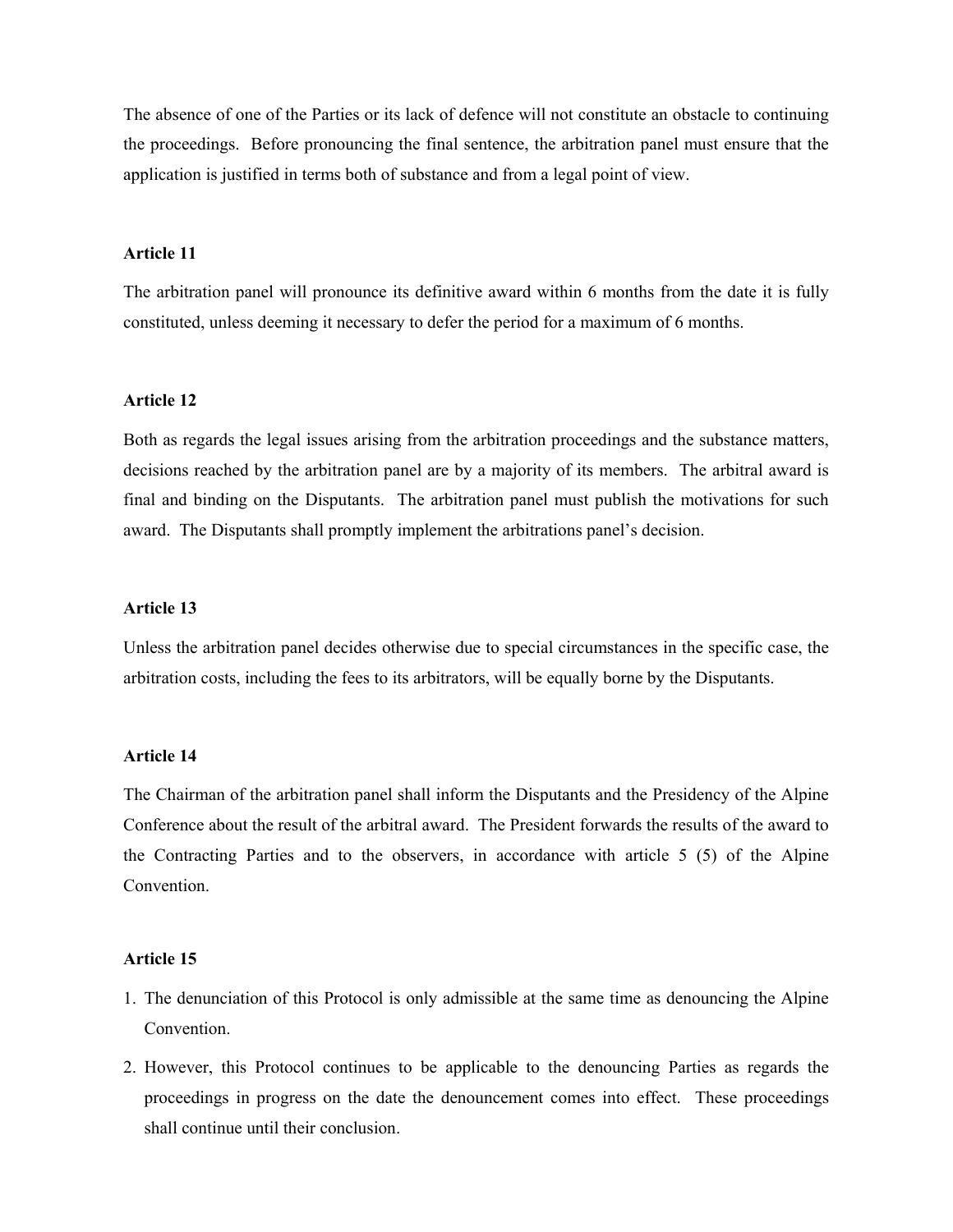The absence of one of the Parties or its lack of defence will not constitute an obstacle to continuing the proceedings. Before pronouncing the final sentence, the arbitration panel must ensure that the application is justified in terms both of substance and from a legal point of view.

#### **Article 11**

The arbitration panel will pronounce its definitive award within 6 months from the date it is fully constituted, unless deeming it necessary to defer the period for a maximum of 6 months.

## **Article 12**

Both as regards the legal issues arising from the arbitration proceedings and the substance matters, decisions reached by the arbitration panel are by a majority of its members. The arbitral award is final and binding on the Disputants. The arbitration panel must publish the motivations for such award. The Disputants shall promptly implement the arbitrations panel's decision.

#### **Article 13**

Unless the arbitration panel decides otherwise due to special circumstances in the specific case, the arbitration costs, including the fees to its arbitrators, will be equally borne by the Disputants.

#### **Article 14**

The Chairman of the arbitration panel shall inform the Disputants and the Presidency of the Alpine Conference about the result of the arbitral award. The President forwards the results of the award to the Contracting Parties and to the observers, in accordance with article 5 (5) of the Alpine **Convention** 

### **Article 15**

- 1. The denunciation of this Protocol is only admissible at the same time as denouncing the Alpine Convention.
- 2. However, this Protocol continues to be applicable to the denouncing Parties as regards the proceedings in progress on the date the denouncement comes into effect. These proceedings shall continue until their conclusion.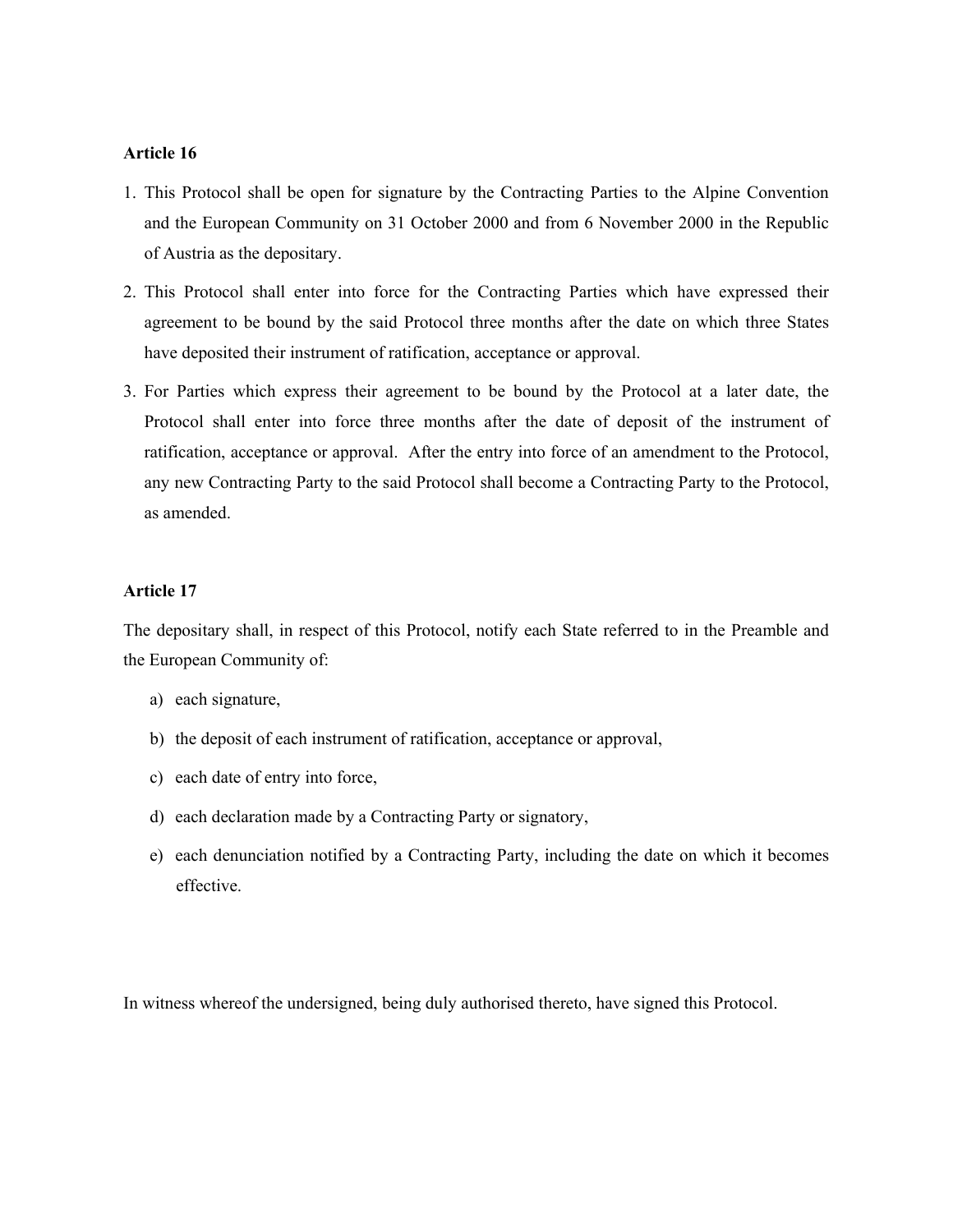# **Article 16**

- 1. This Protocol shall be open for signature by the Contracting Parties to the Alpine Convention and the European Community on 31 October 2000 and from 6 November 2000 in the Republic of Austria as the depositary.
- 2. This Protocol shall enter into force for the Contracting Parties which have expressed their agreement to be bound by the said Protocol three months after the date on which three States have deposited their instrument of ratification, acceptance or approval.
- 3. For Parties which express their agreement to be bound by the Protocol at a later date, the Protocol shall enter into force three months after the date of deposit of the instrument of ratification, acceptance or approval. After the entry into force of an amendment to the Protocol, any new Contracting Party to the said Protocol shall become a Contracting Party to the Protocol, as amended.

## **Article 17**

The depositary shall, in respect of this Protocol, notify each State referred to in the Preamble and the European Community of:

- a) each signature,
- b) the deposit of each instrument of ratification, acceptance or approval,
- c) each date of entry into force,
- d) each declaration made by a Contracting Party or signatory,
- e) each denunciation notified by a Contracting Party, including the date on which it becomes effective.

In witness whereof the undersigned, being duly authorised thereto, have signed this Protocol.